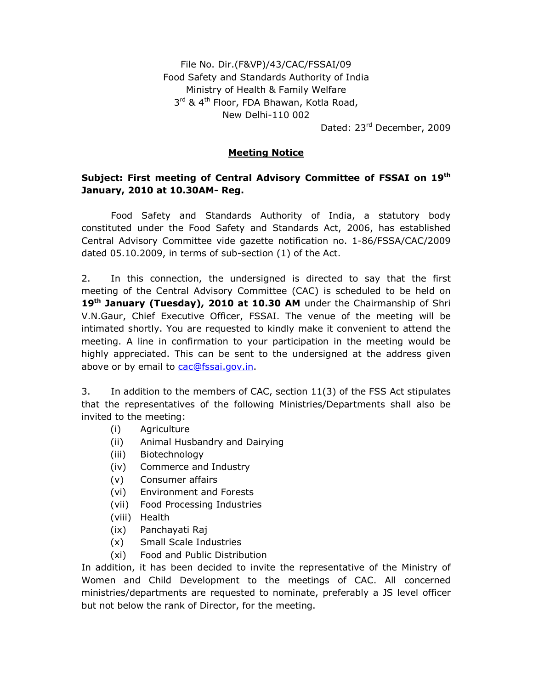File No. Dir.(F&VP)/43/CAC/FSSAI/09 Food Safety and Standards Authority of India Ministry of Health & Family Welfare 3<sup>rd</sup> & 4<sup>th</sup> Floor, FDA Bhawan, Kotla Road, New Delhi-110 002

Dated: 23rd December, 2009

## **Meeting Notice**

# **Subject: First meeting of Central Advisory Committee of FSSAI on 19th January, 2010 at 10.30AM- Reg.**

 Food Safety and Standards Authority of India, a statutory body constituted under the Food Safety and Standards Act, 2006, has established Central Advisory Committee vide gazette notification no. 1-86/FSSA/CAC/2009 dated 05.10.2009, in terms of sub-section (1) of the Act.

2. In this connection, the undersigned is directed to say that the first meeting of the Central Advisory Committee (CAC) is scheduled to be held on **19th January (Tuesday), 2010 at 10.30 AM** under the Chairmanship of Shri V.N.Gaur, Chief Executive Officer, FSSAI. The venue of the meeting will be intimated shortly. You are requested to kindly make it convenient to attend the meeting. A line in confirmation to your participation in the meeting would be highly appreciated. This can be sent to the undersigned at the address given above or by email to cac@fssai.gov.in.

3. In addition to the members of CAC, section 11(3) of the FSS Act stipulates that the representatives of the following Ministries/Departments shall also be invited to the meeting:

- (i) Agriculture
- (ii) Animal Husbandry and Dairying
- (iii) Biotechnology
- (iv) Commerce and Industry
- (v) Consumer affairs
- (vi) Environment and Forests
- (vii) Food Processing Industries
- (viii) Health
- (ix) Panchayati Raj
- (x) Small Scale Industries
- (xi) Food and Public Distribution

In addition, it has been decided to invite the representative of the Ministry of Women and Child Development to the meetings of CAC. All concerned ministries/departments are requested to nominate, preferably a JS level officer but not below the rank of Director, for the meeting.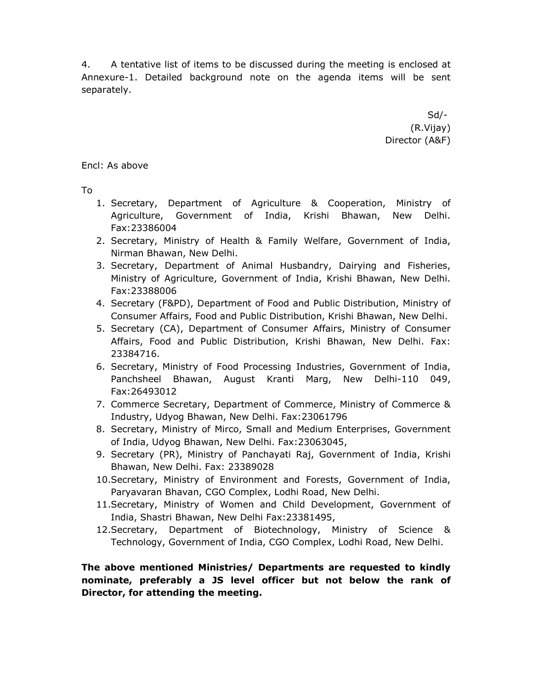4. A tentative list of items to be discussed during the meeting is enclosed at Annexure-1. Detailed background note on the agenda items will be sent separately.

 $Sd/-$ (R.Vijay) Director (A&F)

Encl: As above

To

- 1. Secretary, Department of Agriculture & Cooperation, Ministry of Agriculture, Government of India, Krishi Bhawan, New Delhi. Fax:23386004
- 2. Secretary, Ministry of Health & Family Welfare, Government of India, Nirman Bhawan, New Delhi.
- 3. Secretary, Department of Animal Husbandry, Dairying and Fisheries, Ministry of Agriculture, Government of India, Krishi Bhawan, New Delhi. Fax:23388006
- 4. Secretary (F&PD), Department of Food and Public Distribution, Ministry of Consumer Affairs, Food and Public Distribution, Krishi Bhawan, New Delhi.
- 5. Secretary (CA), Department of Consumer Affairs, Ministry of Consumer Affairs, Food and Public Distribution, Krishi Bhawan, New Delhi. Fax: 23384716.
- 6. Secretary, Ministry of Food Processing Industries, Government of India, Panchsheel Bhawan, August Kranti Marg, New Delhi-110 049, Fax:26493012
- 7. Commerce Secretary, Department of Commerce, Ministry of Commerce & Industry, Udyog Bhawan, New Delhi. Fax:23061796
- 8. Secretary, Ministry of Mirco, Small and Medium Enterprises, Government of India, Udyog Bhawan, New Delhi. Fax:23063045,
- 9. Secretary (PR), Ministry of Panchayati Raj, Government of India, Krishi Bhawan, New Delhi. Fax: 23389028
- 10.Secretary, Ministry of Environment and Forests, Government of India, Paryavaran Bhavan, CGO Complex, Lodhi Road, New Delhi.
- 11.Secretary, Ministry of Women and Child Development, Government of India, Shastri Bhawan, New Delhi Fax:23381495,
- 12.Secretary, Department of Biotechnology, Ministry of Science & Technology, Government of India, CGO Complex, Lodhi Road, New Delhi.

**The above mentioned Ministries/ Departments are requested to kindly nominate, preferably a JS level officer but not below the rank of Director, for attending the meeting.**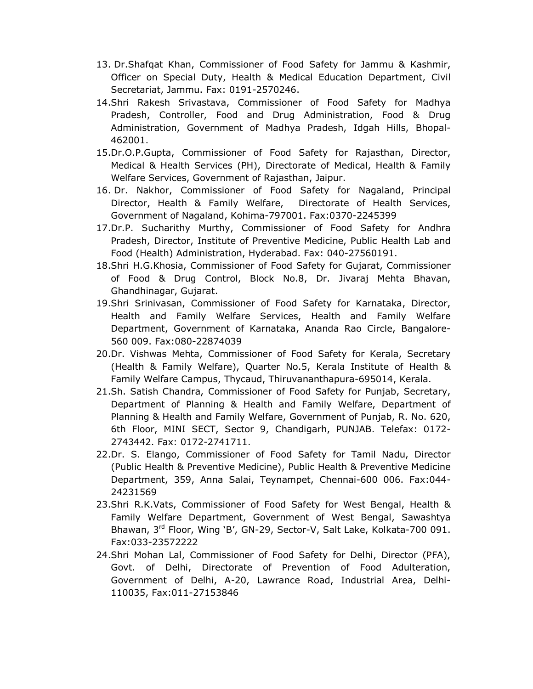- 13. Dr.Shafqat Khan, Commissioner of Food Safety for Jammu & Kashmir, Officer on Special Duty, Health & Medical Education Department, Civil Secretariat, Jammu. Fax: 0191-2570246.
- 14.Shri Rakesh Srivastava, Commissioner of Food Safety for Madhya Pradesh, Controller, Food and Drug Administration, Food & Drug Administration, Government of Madhya Pradesh, Idgah Hills, Bhopal-462001.
- 15.Dr.O.P.Gupta, Commissioner of Food Safety for Rajasthan, Director, Medical & Health Services (PH), Directorate of Medical, Health & Family Welfare Services, Government of Rajasthan, Jaipur.
- 16. Dr. Nakhor, Commissioner of Food Safety for Nagaland, Principal Director, Health & Family Welfare, Directorate of Health Services, Government of Nagaland, Kohima-797001. Fax:0370-2245399
- 17.Dr.P. Sucharithy Murthy, Commissioner of Food Safety for Andhra Pradesh, Director, Institute of Preventive Medicine, Public Health Lab and Food (Health) Administration, Hyderabad. Fax: 040-27560191.
- 18.Shri H.G.Khosia, Commissioner of Food Safety for Gujarat, Commissioner of Food & Drug Control, Block No.8, Dr. Jivaraj Mehta Bhavan, Ghandhinagar, Gujarat.
- 19.Shri Srinivasan, Commissioner of Food Safety for Karnataka, Director, Health and Family Welfare Services, Health and Family Welfare Department, Government of Karnataka, Ananda Rao Circle, Bangalore-560 009. Fax:080-22874039
- 20.Dr. Vishwas Mehta, Commissioner of Food Safety for Kerala, Secretary (Health & Family Welfare), Quarter No.5, Kerala Institute of Health & Family Welfare Campus, Thycaud, Thiruvananthapura-695014, Kerala.
- 21.Sh. Satish Chandra, Commissioner of Food Safety for Punjab, Secretary, Department of Planning & Health and Family Welfare, Department of Planning & Health and Family Welfare, Government of Punjab, R. No. 620, 6th Floor, MINI SECT, Sector 9, Chandigarh, PUNJAB. Telefax: 0172- 2743442. Fax: 0172-2741711.
- 22.Dr. S. Elango, Commissioner of Food Safety for Tamil Nadu, Director (Public Health & Preventive Medicine), Public Health & Preventive Medicine Department, 359, Anna Salai, Teynampet, Chennai-600 006. Fax:044- 24231569
- 23.Shri R.K.Vats, Commissioner of Food Safety for West Bengal, Health & Family Welfare Department, Government of West Bengal, Sawashtya Bhawan, 3<sup>rd</sup> Floor, Wing 'B', GN-29, Sector-V, Salt Lake, Kolkata-700 091. Fax:033-23572222
- 24.Shri Mohan Lal, Commissioner of Food Safety for Delhi, Director (PFA), Govt. of Delhi, Directorate of Prevention of Food Adulteration, Government of Delhi, A-20, Lawrance Road, Industrial Area, Delhi-110035, Fax:011-27153846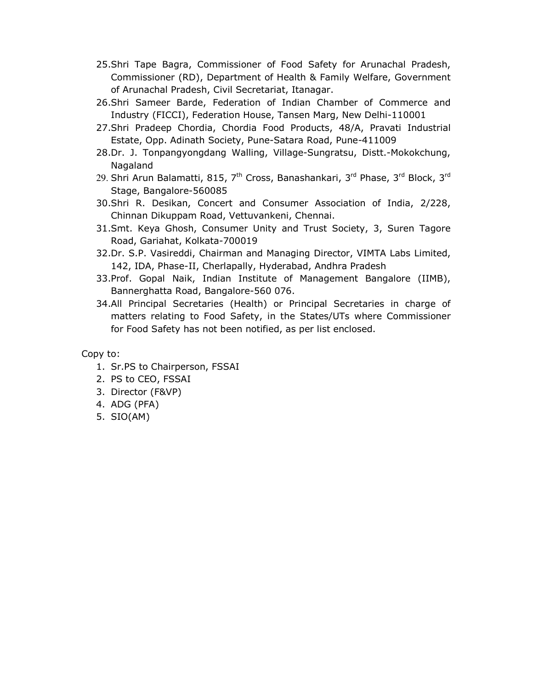- 25.Shri Tape Bagra, Commissioner of Food Safety for Arunachal Pradesh, Commissioner (RD), Department of Health & Family Welfare, Government of Arunachal Pradesh, Civil Secretariat, Itanagar.
- 26.Shri Sameer Barde, Federation of Indian Chamber of Commerce and Industry (FICCI), Federation House, Tansen Marg, New Delhi-110001
- 27.Shri Pradeep Chordia, Chordia Food Products, 48/A, Pravati Industrial Estate, Opp. Adinath Society, Pune-Satara Road, Pune-411009
- 28.Dr. J. Tonpangyongdang Walling, Village-Sungratsu, Distt.-Mokokchung, Nagaland
- 29. Shri Arun Balamatti, 815,  $7<sup>th</sup>$  Cross, Banashankari, 3<sup>rd</sup> Phase, 3<sup>rd</sup> Block, 3<sup>rd</sup> Stage, Bangalore-560085
- 30.Shri R. Desikan, Concert and Consumer Association of India, 2/228, Chinnan Dikuppam Road, Vettuvankeni, Chennai.
- 31.Smt. Keya Ghosh, Consumer Unity and Trust Society, 3, Suren Tagore Road, Gariahat, Kolkata-700019
- 32.Dr. S.P. Vasireddi, Chairman and Managing Director, VIMTA Labs Limited, 142, IDA, Phase-II, Cherlapally, Hyderabad, Andhra Pradesh
- 33.Prof. Gopal Naik, Indian Institute of Management Bangalore (IIMB), Bannerghatta Road, Bangalore-560 076.
- 34.All Principal Secretaries (Health) or Principal Secretaries in charge of matters relating to Food Safety, in the States/UTs where Commissioner for Food Safety has not been notified, as per list enclosed.

#### Copy to:

- 1. Sr.PS to Chairperson, FSSAI
- 2. PS to CEO, FSSAI
- 3. Director (F&VP)
- 4. ADG (PFA)
- 5. SIO(AM)